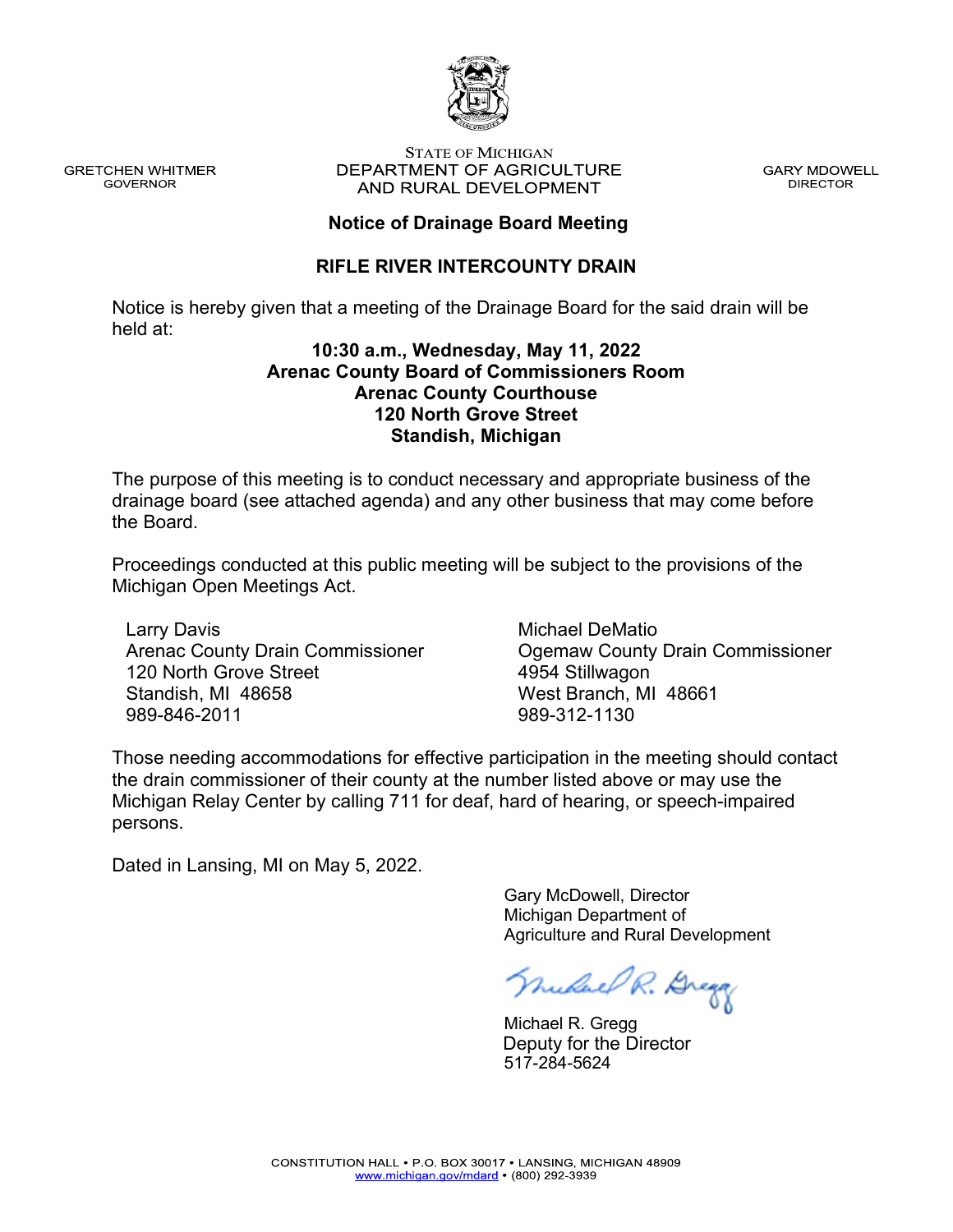

**GRETCHEN WHITMER GOVERNOR** 

#### **STATE OF MICHIGAN** DEPARTMENT OF AGRICULTURE AND RURAL DEVELOPMENT

**GARY MDOWELL DIRECTOR** 

## **Notice of Drainage Board Meeting**

## **RIFLE RIVER INTERCOUNTY DRAIN**

Notice is hereby given that a meeting of the Drainage Board for the said drain will be held at:

### **10:30 a.m., Wednesday, May 11, 2022 Arenac County Board of Commissioners Room Arenac County Courthouse 120 North Grove Street Standish, Michigan**

The purpose of this meeting is to conduct necessary and appropriate business of the drainage board (see attached agenda) and any other business that may come before the Board.

Proceedings conducted at this public meeting will be subject to the provisions of the Michigan Open Meetings Act.

Larry Davis Arenac County Drain Commissioner 120 North Grove Street Standish, MI 48658 989-846-2011

Michael DeMatio Ogemaw County Drain Commissioner 4954 Stillwagon West Branch, MI 48661 989-312-1130

Those needing accommodations for effective participation in the meeting should contact the drain commissioner of their county at the number listed above or may use the Michigan Relay Center by calling 711 for deaf, hard of hearing, or speech-impaired persons.

Dated in Lansing, MI on May 5, 2022.

 Gary McDowell, Director Michigan Department of Agriculture and Rural Development

nudae R. Dregg

 Michael R. Gregg 517-284-5624 Deputy for the Director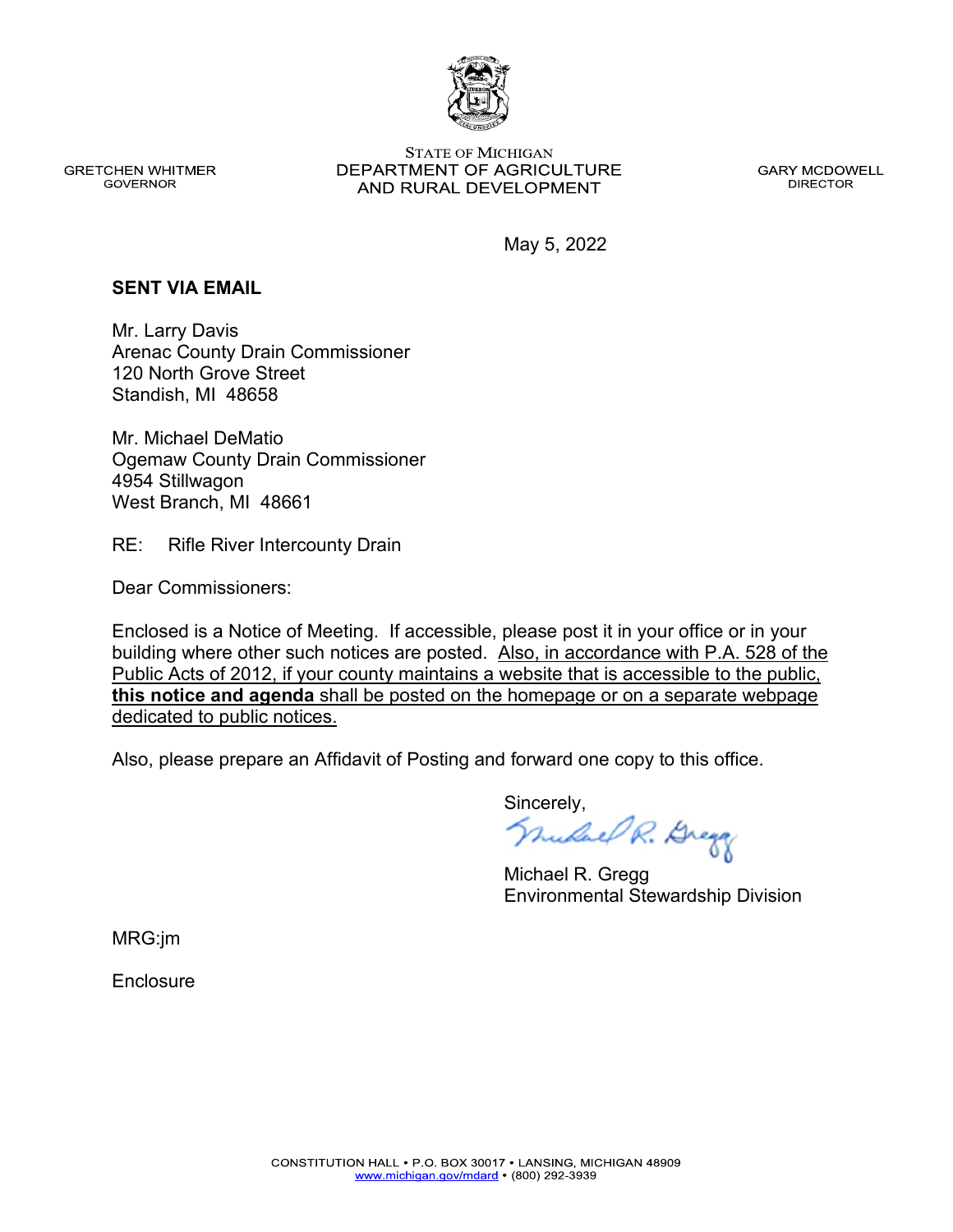

**GRETCHEN WHITMER GOVERNOR** 

**STATE OF MICHIGAN** DEPARTMENT OF AGRICULTURE AND RURAL DEVELOPMENT

**GARY MCDOWELL DIRECTOR** 

May 5, 2022

#### **SENT VIA EMAIL**

Mr. Larry Davis Arenac County Drain Commissioner 120 North Grove Street Standish, MI 48658

Mr. Michael DeMatio Ogemaw County Drain Commissioner 4954 Stillwagon West Branch, MI 48661

RE: Rifle River Intercounty Drain

Dear Commissioners:

Enclosed is a Notice of Meeting. If accessible, please post it in your office or in your building where other such notices are posted. Also, in accordance with P.A. 528 of the Public Acts of 2012, if your county maintains a website that is accessible to the public, **this notice and agenda** shall be posted on the homepage or on a separate webpage dedicated to public notices.

Also, please prepare an Affidavit of Posting and forward one copy to this office.

Sincerely,<br>*Mulael R. Brega* 

Michael R. Gregg Environmental Stewardship Division

MRG:jm

**Enclosure**